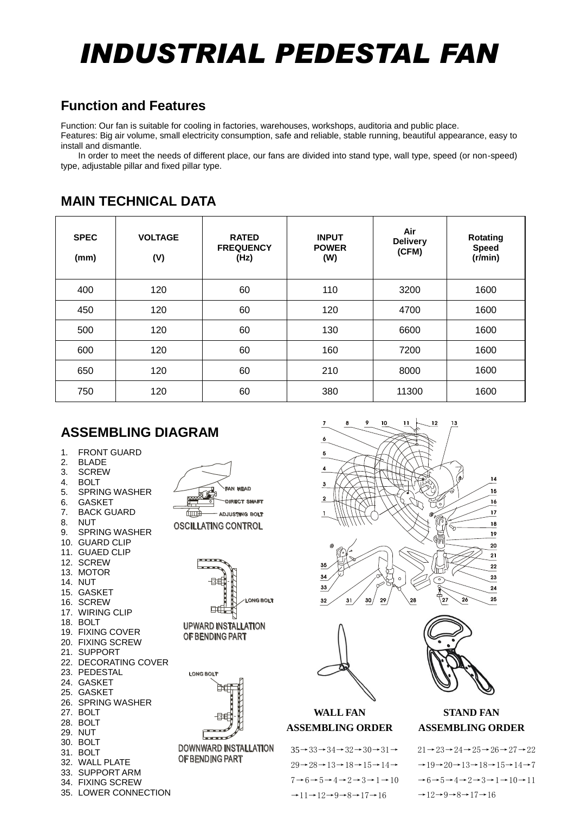# *INDUSTRIAL PEDESTAL FAN*

## **Function and Features**

Function: Our fan is suitable for cooling in factories, warehouses, workshops, auditoria and public place.

Features: Big air volume, small electricity consumption, safe and reliable, stable running, beautiful appearance, easy to install and dismantle.

In order to meet the needs of different place, our fans are divided into stand type, wall type, speed (or non-speed) type, adjustable pillar and fixed pillar type.

| <b>SPEC</b><br>(mm) | <b>VOLTAGE</b><br>(V) | <b>RATED</b><br><b>FREQUENCY</b><br>(Hz) | <b>INPUT</b><br><b>POWER</b><br>(W) | Air<br><b>Delivery</b><br>(CFM) | Rotating<br><b>Speed</b><br>(r/min) |
|---------------------|-----------------------|------------------------------------------|-------------------------------------|---------------------------------|-------------------------------------|
| 400                 | 120                   | 60                                       | 110                                 | 3200                            | 1600                                |
| 450                 | 120                   | 60                                       | 120                                 | 4700                            | 1600                                |
| 500                 | 120                   | 60                                       | 130                                 | 6600                            | 1600                                |
| 600                 | 120                   | 60                                       | 160                                 | 7200                            | 1600                                |
| 650                 | 120                   | 60                                       | 210                                 | 8000                            | 1600                                |
| 750                 | 120                   | 60                                       | 380                                 | 11300                           | 1600                                |

### **MAIN TECHNICAL DATA**

## **ASSEMBLING DIAGRAM**

- 1. FRONT GUARD<br>2. BLADE
- BLADE
- 3. SCREW
- 4. BOLT<br>5. SPRIN
- 5. SPRING WASHER<br>6. GASKET **GASKET**
- 7. BACK GUARD
- 8. NUT
- 9. SPRING WASHER
- 10. GUARD CLIP
- 11. GUAED CLIP
- 12. SCREW
- 13. MOTOR
- 14. NUT
- 15. GASKET 16. SCREW
- 17. WIRING CLIP
- 18. BOLT
- 19. FIXING COVER
- 20. FIXING SCREW
- 21. SUPPORT
- 22. DECORATING COVER
- 23. PEDESTAL 24. GASKET
- 25. GASKET
- 26. SPRING WASHER
- 27. BOLT
- 28. BOLT
- 29. NUT
- 30. BOLT
- 31. BOLT
- 32. WALL PLATE
- 33. SUPPORT ARM 34. FIXING SCREW
- 35. LOWER CONNECTION







**UPWARD INSTALLATION** OF BENDING PART



**DOWNWARD INSTALLATION** OF BENDING PART





#### **WALL FAN ASSEMBLING ORDER**

 $35 \rightarrow 33 \rightarrow 34 \rightarrow 32 \rightarrow 30 \rightarrow 31 \rightarrow$  $29 \rightarrow 28 \rightarrow 13 \rightarrow 18 \rightarrow 15 \rightarrow 14 \rightarrow$  $7 \rightarrow 6 \rightarrow 5 \rightarrow 4 \rightarrow 2 \rightarrow 3 \rightarrow 1 \rightarrow 10$  $\rightarrow$ 11 $\rightarrow$ 12 $\rightarrow$ 9 $\rightarrow$ 8 $\rightarrow$ 17 $\rightarrow$ 16



#### **STAND FAN ASSEMBLING ORDER**

 $21\rightarrow 23\rightarrow 24\rightarrow 25\rightarrow 26\rightarrow 27\rightarrow 22$  $\rightarrow$ 19 $\rightarrow$ 20 $\rightarrow$ 13 $\rightarrow$ 18 $\rightarrow$ 15 $\rightarrow$ 14 $\rightarrow$ 7  $\rightarrow 6 \rightarrow 5 \rightarrow 4 \rightarrow 2 \rightarrow 3 \rightarrow 1 \rightarrow 10 \rightarrow 11$  $\rightarrow$ 12→9→8→17→16